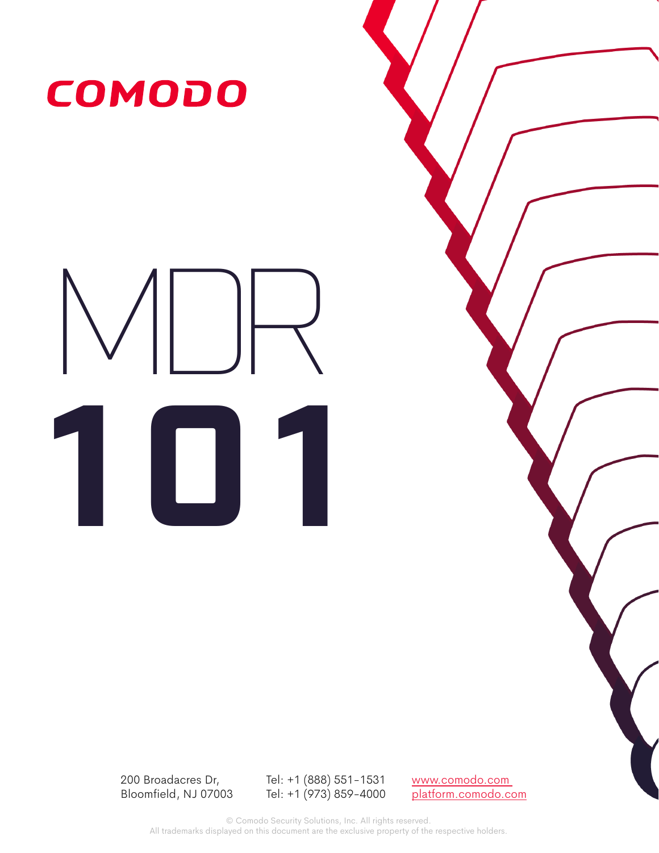

# MDR **101**

200 Broadacres Dr, Bloomfield, NJ 07003

Tel: +1 (888) 551-1531 Tel: +1 (973) 859-4000 www.comodo.com platform.comodo.com

© Comodo Security Solutions, Inc. All rights reserved. All trademarks displayed on this document are the exclusive property of the respective holders.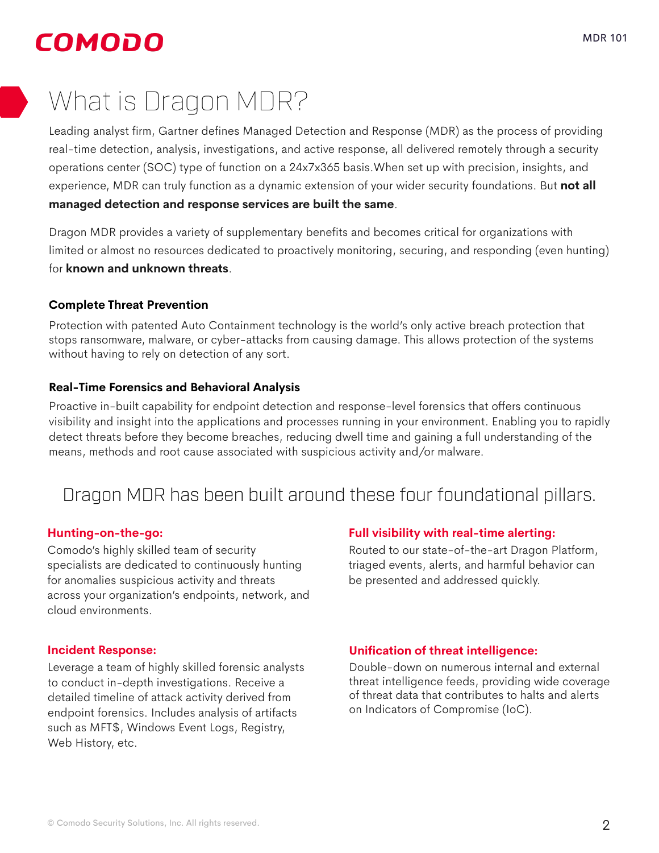# COMODO

# What is Dragon MDR?

Leading analyst firm, Gartner defines Managed Detection and Response (MDR) as the process of providing real-time detection, analysis, investigations, and active response, all delivered remotely through a security operations center (SOC) type of function on a 24x7x365 basis.When set up with precision, insights, and experience, MDR can truly function as a dynamic extension of your wider security foundations. But **not all managed detection and response services are built the same**.

Dragon MDR provides a variety of supplementary benefits and becomes critical for organizations with limited or almost no resources dedicated to proactively monitoring, securing, and responding (even hunting) for **known and unknown threats**.

### **Complete Threat Prevention**

Protection with patented Auto Containment technology is the world's only active breach protection that stops ransomware, malware, or cyber-attacks from causing damage. This allows protection of the systems without having to rely on detection of any sort.

### **Real-Time Forensics and Behavioral Analysis**

Proactive in-built capability for endpoint detection and response-level forensics that offers continuous visibility and insight into the applications and processes running in your environment. Enabling you to rapidly detect threats before they become breaches, reducing dwell time and gaining a full understanding of the means, methods and root cause associated with suspicious activity and/or malware.

## Dragon MDR has been built around these four foundational pillars.

### **Hunting-on-the-go:**

Comodo's highly skilled team of security specialists are dedicated to continuously hunting for anomalies suspicious activity and threats across your organization's endpoints, network, and cloud environments.

### **Incident Response:**

Leverage a team of highly skilled forensic analysts to conduct in-depth investigations. Receive a detailed timeline of attack activity derived from endpoint forensics. Includes analysis of artifacts such as MFT\$, Windows Event Logs, Registry, Web History, etc.

### **Full visibility with real-time alerting:**

Routed to our state-of-the-art Dragon Platform, triaged events, alerts, and harmful behavior can be presented and addressed quickly.

### **Unification of threat intelligence:**

Double-down on numerous internal and external threat intelligence feeds, providing wide coverage of threat data that contributes to halts and alerts on Indicators of Compromise (IoC).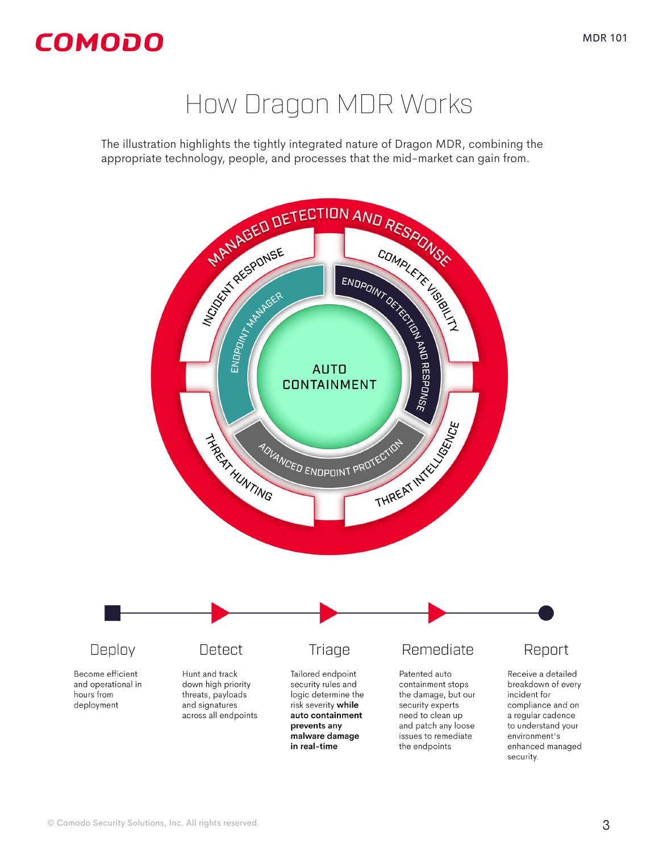# How Dragon MDR Works

The illustration highlights the tightly integrated nature of Dragon MDR, combining the

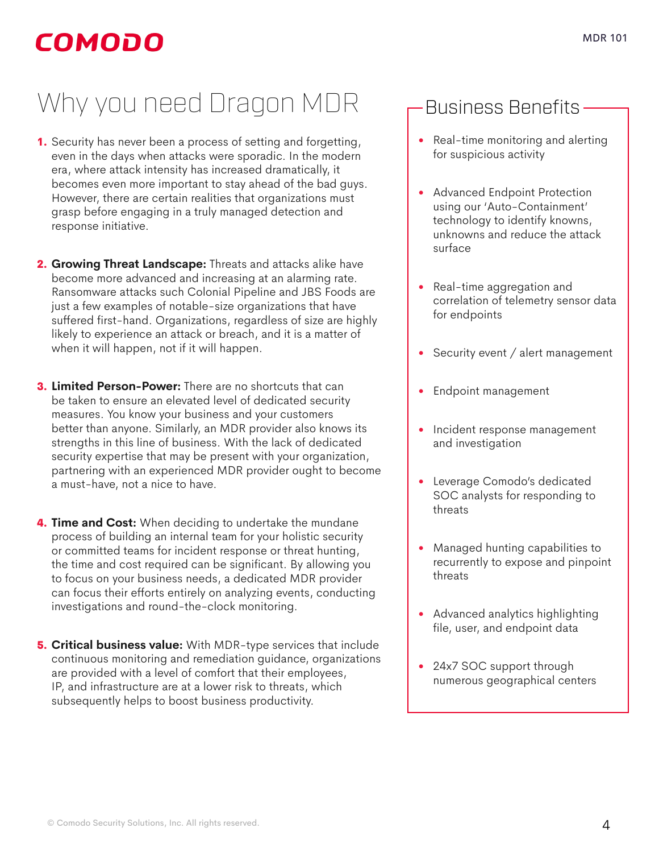# COMODO

# Why you need Dragon MDR

- 1. Security has never been a process of setting and forgetting, even in the days when attacks were sporadic. In the modern era, where attack intensity has increased dramatically, it becomes even more important to stay ahead of the bad guys. However, there are certain realities that organizations must grasp before engaging in a truly managed detection and response initiative.
- 2. **Growing Threat Landscape:** Threats and attacks alike have become more advanced and increasing at an alarming rate. Ransomware attacks such Colonial Pipeline and JBS Foods are just a few examples of notable-size organizations that have suffered first-hand. Organizations, regardless of size are highly likely to experience an attack or breach, and it is a matter of when it will happen, not if it will happen.
- 3. **Limited Person-Power:** There are no shortcuts that can be taken to ensure an elevated level of dedicated security measures. You know your business and your customers better than anyone. Similarly, an MDR provider also knows its strengths in this line of business. With the lack of dedicated security expertise that may be present with your organization, partnering with an experienced MDR provider ought to become a must-have, not a nice to have.
- 4. **Time and Cost:** When deciding to undertake the mundane process of building an internal team for your holistic security or committed teams for incident response or threat hunting, the time and cost required can be significant. By allowing you to focus on your business needs, a dedicated MDR provider can focus their efforts entirely on analyzing events, conducting investigations and round-the-clock monitoring.
- 5. **Critical business value:** With MDR-type services that include continuous monitoring and remediation guidance, organizations are provided with a level of comfort that their employees, IP, and infrastructure are at a lower risk to threats, which subsequently helps to boost business productivity.

# Business Benefits

- Real-time monitoring and alerting for suspicious activity
- Advanced Endpoint Protection using our 'Auto-Containment' technology to identify knowns, unknowns and reduce the attack surface
- Real-time aggregation and correlation of telemetry sensor data for endpoints
- Security event / alert management
- Endpoint management
- Incident response management and investigation
- Leverage Comodo's dedicated SOC analysts for responding to threats
- Managed hunting capabilities to recurrently to expose and pinpoint threats
- Advanced analytics highlighting file, user, and endpoint data
- 24x7 SOC support through numerous geographical centers